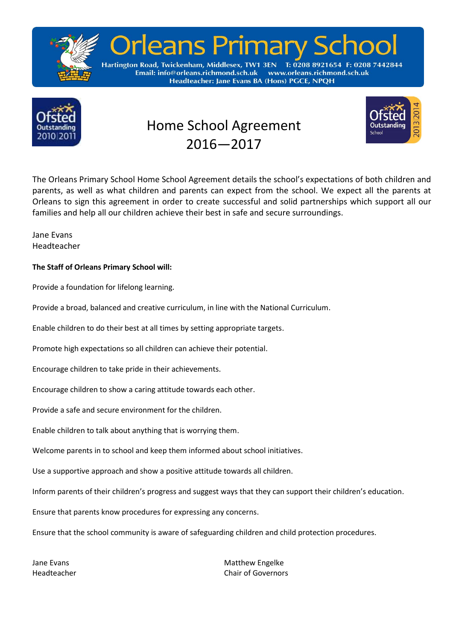

# Ieans Primary

T: 0208 8921654 F: 0208 7442844 Hartington Road, Twickenham, Middlesex, TW1 3EN www.orleans.richmond.sch.uk Email: info@orleans.richmond.sch.uk Headteacher: Jane Evans BA (Hons) PGCE, NPQH



# Home School Agreement 2016—2017



The Orleans Primary School Home School Agreement details the school's expectations of both children and parents, as well as what children and parents can expect from the school. We expect all the parents at Orleans to sign this agreement in order to create successful and solid partnerships which support all our families and help all our children achieve their best in safe and secure surroundings.

Jane Evans Headteacher

## **The Staff of Orleans Primary School will:**

Provide a foundation for lifelong learning.

Provide a broad, balanced and creative curriculum, in line with the National Curriculum.

Enable children to do their best at all times by setting appropriate targets.

Promote high expectations so all children can achieve their potential.

Encourage children to take pride in their achievements.

Encourage children to show a caring attitude towards each other.

Provide a safe and secure environment for the children.

Enable children to talk about anything that is worrying them.

Welcome parents in to school and keep them informed about school initiatives.

Use a supportive approach and show a positive attitude towards all children.

Inform parents of their children's progress and suggest ways that they can support their children's education.

Ensure that parents know procedures for expressing any concerns.

Ensure that the school community is aware of safeguarding children and child protection procedures.

Jane Evans Matthew Engelke Headteacher Chair of Governors